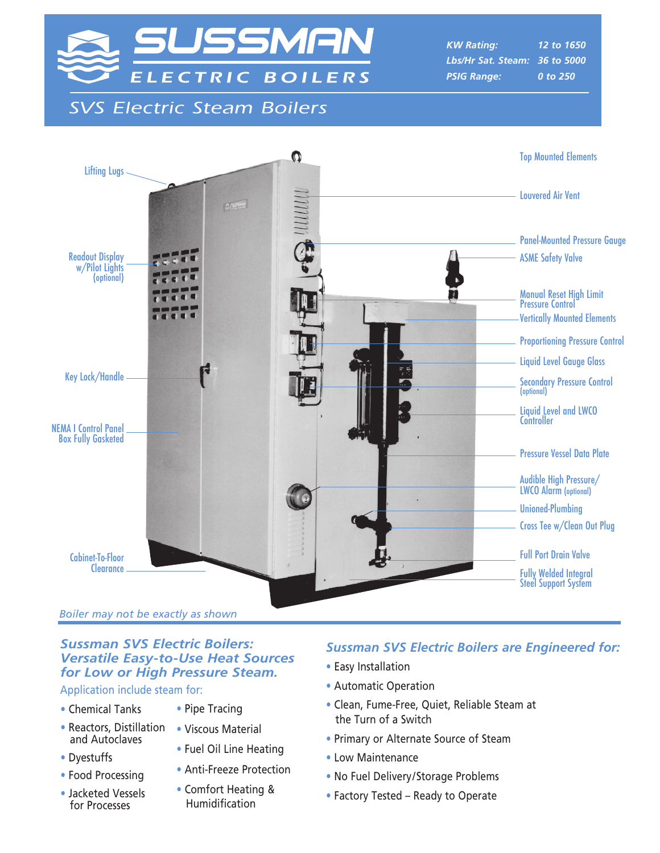

**SVS Electric Steam Boilers** 

*KW Rating: 12 to 1650 Lbs/Hr Sat. Steam: 36 to 5000 PSIG Range: 0 to 250*



*Boiler may not be exactly as shown*

## *Sussman SVS Electric Boilers: Versatile Easy-to-Use Heat Sources for Low or High Pressure Steam.*

Application include steam for:

- Chemical Tanks
- Reactors, Distillation and Autoclaves
- Dyestuffs
- Food Processing
- Jacketed Vessels for Processes
- Pipe Tracing
- Viscous Material
- Fuel Oil Line Heating
- Anti-Freeze Protection
- Comfort Heating & Humidification

## *Sussman SVS Electric Boilers are Engineered for:*

- Easy Installation
- Automatic Operation
- Clean, Fume-Free, Quiet, Reliable Steam at the Turn of a Switch
- Primary or Alternate Source of Steam
- Low Maintenance
- No Fuel Delivery/Storage Problems
- Factory Tested Ready to Operate